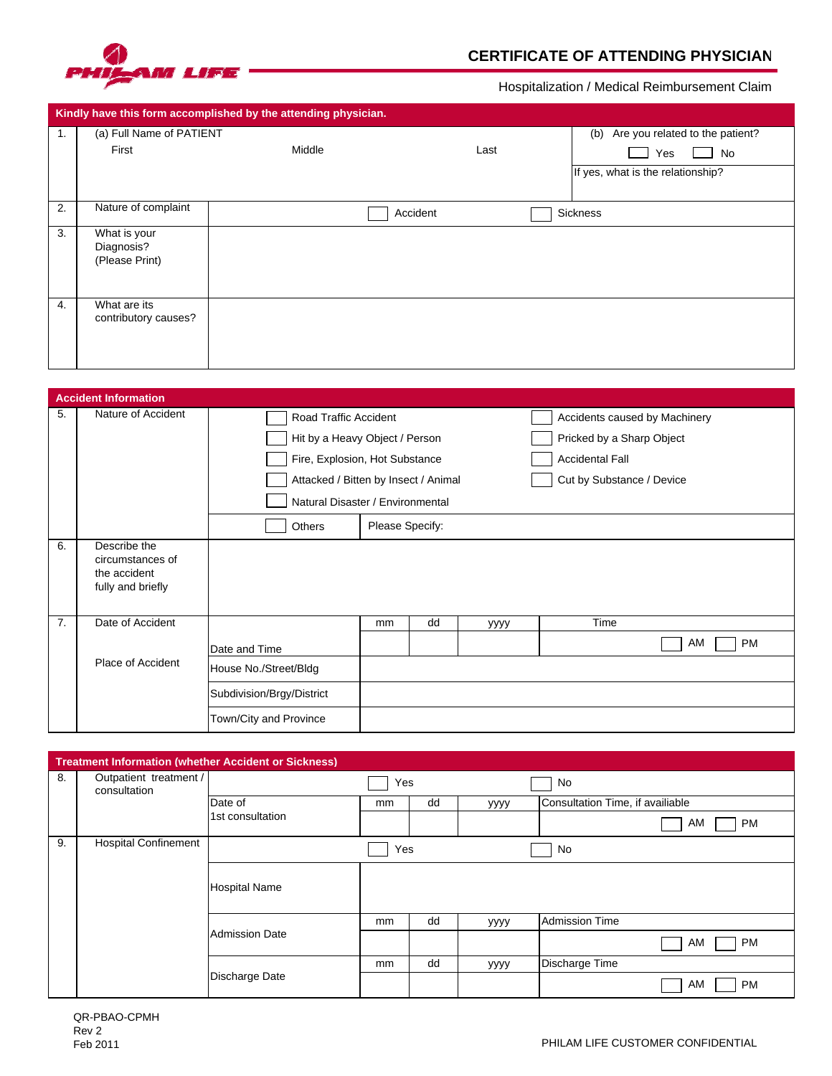

## **CERTIFICATE OF ATTENDING PHYSICIAN**

Hospitalization / Medical Reimbursement Claim

| Kindly have this form accomplished by the attending physician. |                          |        |                                        |                                   |  |  |  |  |
|----------------------------------------------------------------|--------------------------|--------|----------------------------------------|-----------------------------------|--|--|--|--|
| 1.                                                             | (a) Full Name of PATIENT |        | Are you related to the patient?<br>(b) |                                   |  |  |  |  |
|                                                                | First                    | Middle | Last                                   | No<br>Yes                         |  |  |  |  |
|                                                                |                          |        |                                        | If yes, what is the relationship? |  |  |  |  |
|                                                                |                          |        |                                        |                                   |  |  |  |  |
| 2.                                                             | Nature of complaint      |        | Accident                               | Sickness                          |  |  |  |  |
| 3.                                                             | What is your             |        |                                        |                                   |  |  |  |  |
|                                                                | Diagnosis?               |        |                                        |                                   |  |  |  |  |
|                                                                | (Please Print)           |        |                                        |                                   |  |  |  |  |
|                                                                |                          |        |                                        |                                   |  |  |  |  |
| 4.                                                             | What are its             |        |                                        |                                   |  |  |  |  |
|                                                                | contributory causes?     |        |                                        |                                   |  |  |  |  |
|                                                                |                          |        |                                        |                                   |  |  |  |  |
|                                                                |                          |        |                                        |                                   |  |  |  |  |
|                                                                |                          |        |                                        |                                   |  |  |  |  |

| <b>Accident Information</b> |                                                                       |                                                     |    |    |                               |                           |  |  |  |  |
|-----------------------------|-----------------------------------------------------------------------|-----------------------------------------------------|----|----|-------------------------------|---------------------------|--|--|--|--|
| 5.                          | Nature of Accident                                                    | Road Traffic Accident                               |    |    | Accidents caused by Machinery |                           |  |  |  |  |
|                             |                                                                       | Hit by a Heavy Object / Person                      |    |    |                               | Pricked by a Sharp Object |  |  |  |  |
|                             |                                                                       | Fire, Explosion, Hot Substance                      |    |    |                               | <b>Accidental Fall</b>    |  |  |  |  |
|                             |                                                                       | Attacked / Bitten by Insect / Animal                |    |    |                               | Cut by Substance / Device |  |  |  |  |
|                             |                                                                       | Natural Disaster / Environmental                    |    |    |                               |                           |  |  |  |  |
|                             |                                                                       | Others<br>Please Specify:                           |    |    |                               |                           |  |  |  |  |
| 6.                          | Describe the<br>circumstances of<br>the accident<br>fully and briefly |                                                     |    |    |                               |                           |  |  |  |  |
| 7.                          | Date of Accident                                                      |                                                     | mm | dd | уууу                          | Time                      |  |  |  |  |
|                             |                                                                       | Date and Time                                       |    |    |                               | AM<br><b>PM</b>           |  |  |  |  |
|                             | Place of Accident                                                     | House No./Street/Bldg                               |    |    |                               |                           |  |  |  |  |
|                             |                                                                       | Subdivision/Brgy/District<br>Town/City and Province |    |    |                               |                           |  |  |  |  |
|                             |                                                                       |                                                     |    |    |                               |                           |  |  |  |  |

| <b>Treatment Information (whether Accident or Sickness)</b> |                                        |                       |     |    |      |                                  |  |  |  |
|-------------------------------------------------------------|----------------------------------------|-----------------------|-----|----|------|----------------------------------|--|--|--|
| 8.                                                          | Outpatient treatment /<br>consultation |                       | Yes |    |      | No                               |  |  |  |
|                                                             |                                        | Date of               | mm  | dd | уууу | Consultation Time, if availiable |  |  |  |
|                                                             |                                        | 1st consultation      |     |    |      | AM<br><b>PM</b>                  |  |  |  |
| 9.                                                          | <b>Hospital Confinement</b>            | Yes<br>No             |     |    |      |                                  |  |  |  |
|                                                             |                                        | <b>Hospital Name</b>  |     |    |      |                                  |  |  |  |
|                                                             |                                        | <b>Admission Date</b> | mm  | dd | уууу | <b>Admission Time</b>            |  |  |  |
|                                                             |                                        |                       |     |    |      | AM<br><b>PM</b>                  |  |  |  |
|                                                             |                                        | Discharge Date        | mm  | dd | уууу | Discharge Time                   |  |  |  |
|                                                             |                                        |                       |     |    |      | <b>PM</b><br>AM                  |  |  |  |